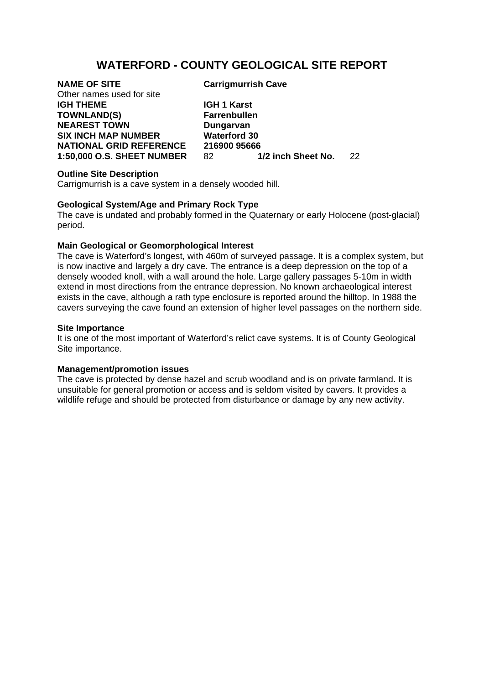# **WATERFORD - COUNTY GEOLOGICAL SITE REPORT**

Other names used for site **IGH THEME IGH 1 Karst TOWNLAND(S) Farrenbullen NEAREST TOWN Dungarvan SIX INCH MAP NUMBER Waterford 30** 

**NAME OF SITE Carrigmurrish Cave** 

**NATIONAL GRID REFERENCE 216900 95666**<br>1:50,000 O.S. SHEET NUMBER 82 1/2 inch Sheet No. **1:50,000 O.S. SHEET NUMBER** 82 **1/2 inch Sheet No.** 22

### **Outline Site Description**

Carrigmurrish is a cave system in a densely wooded hill.

### **Geological System/Age and Primary Rock Type**

The cave is undated and probably formed in the Quaternary or early Holocene (post-glacial) period.

## **Main Geological or Geomorphological Interest**

The cave is Waterford's longest, with 460m of surveyed passage. It is a complex system, but is now inactive and largely a dry cave. The entrance is a deep depression on the top of a densely wooded knoll, with a wall around the hole. Large gallery passages 5-10m in width extend in most directions from the entrance depression. No known archaeological interest exists in the cave, although a rath type enclosure is reported around the hilltop. In 1988 the cavers surveying the cave found an extension of higher level passages on the northern side.

#### **Site Importance**

It is one of the most important of Waterford's relict cave systems. It is of County Geological Site importance.

### **Management/promotion issues**

The cave is protected by dense hazel and scrub woodland and is on private farmland. It is unsuitable for general promotion or access and is seldom visited by cavers. It provides a wildlife refuge and should be protected from disturbance or damage by any new activity.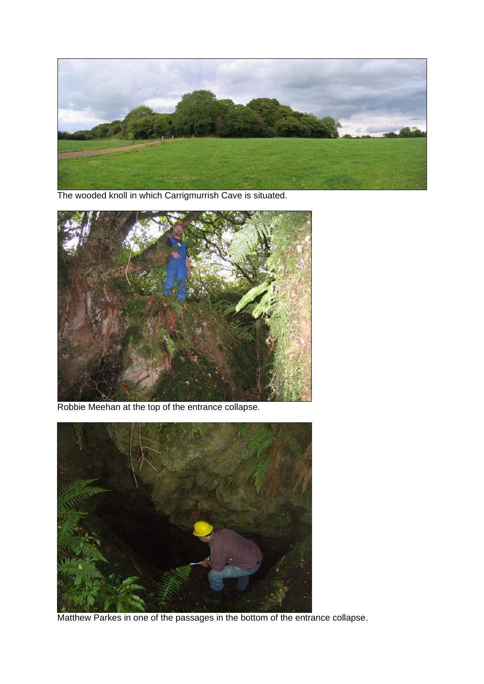

The wooded knoll in which Carrigmurrish Cave is situated.



Robbie Meehan at the top of the entrance collapse.



Matthew Parkes in one of the passages in the bottom of the entrance collapse.